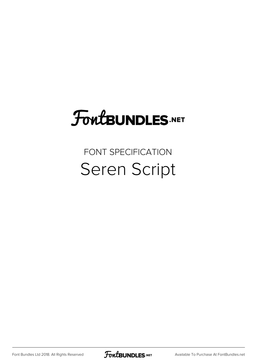## FoutBUNDLES.NET

#### FONT SPECIFICATION Seren Script

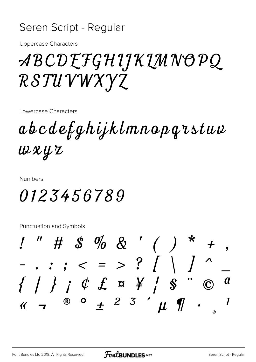#### Seren Script - Regular

**Uppercase Characters** 

## ABCDEFGHIJKIMNOPQ RSTUVWXYZ

Lowercase Characters

abcdefghijklmnopqrstuv  $uxxyz$ 

**Numbers** 

#### 0123456789

Punctuation and Symbols

 $\frac{1}{2}$  " # \$ % & ' ( ) \* - . : ; < = > ? [ \ ] ^  $\{\begin{array}{ccc} \end{array} \{\begin{array}{ccc} \end{array} \{\begin{array}{ccc} \end{array} \{\begin{array}{ccc} \end{array} \{\begin{array}{ccc} \end{array} \emptyset \begin{array} \end{array} \{\begin{array} \end{array} \{\begin{array} \end{array} \{\begin{array} \end{array} \emptyset \begin{array} \end{array} \{\begin{array} \end{array} \emptyset \end{array} \begin{array} \end{array} \{\begin{array} \end{array} \{\begin{array} \end{array} \{\begin{array} \end{array} \emptyset \end{array} \begin{array} \end{array} \{\begin{array} \end{array} \{\begin{array$  $\boldsymbol{a}$  $\overline{R}$  o  $\overline{R}$  2 3  $\overline{u}$   $\overline{v}$  .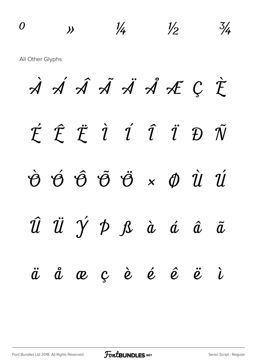$\frac{0}{2}$   $\frac{1}{4}$   $\frac{1}{2}$   $\frac{3}{4}$ All Other Glyphs À Á Â Ã Ä Å Æ Ç È É Ê Ë Ì Í Î Ï Ð Ñ Ò Ó Ô Õ Ö × Ø Ù Ú Û Ü Ý Þ ß à á â ã ä å æ ç è é ê ë ì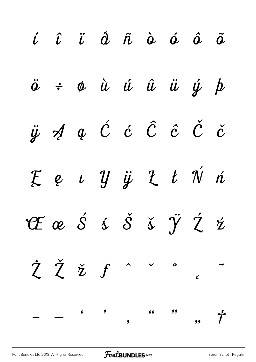| $\hat{\iota}$ $\hat{\iota}$ $\hat{\iota}$ $\hat{\alpha}$ $\hat{\alpha}$ $\hat{\alpha}$ $\hat{\alpha}$ $\hat{\alpha}$ $\hat{\alpha}$ |  |  |  |  |
|-------------------------------------------------------------------------------------------------------------------------------------|--|--|--|--|
| $\ddot{o}$ $\div$ $\phi$ $\dot{u}$ $\dot{u}$ $\ddot{u}$ $\ddot{u}$ $\dot{y}$ $\dot{p}$                                              |  |  |  |  |
| ÿ A ą Ć ć Ĉ ĉ Č č                                                                                                                   |  |  |  |  |
| Ee u Y ÿ L t Ń ń                                                                                                                    |  |  |  |  |
| EæŠśššÿŹź                                                                                                                           |  |  |  |  |
| $\dot{\zeta}$ $\check{\zeta}$ $\check{\zeta}$ $f$ $\uparrow$ $\downarrow$ $\downarrow$ $\downarrow$                                 |  |  |  |  |
| $  \qquad$ , $\qquad$ , $\qquad$ , $\qquad$ , $\qquad$                                                                              |  |  |  |  |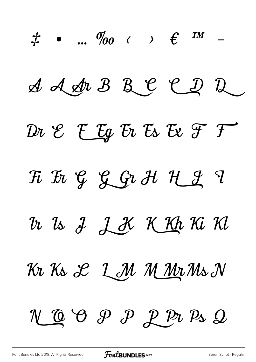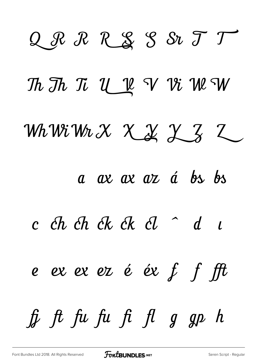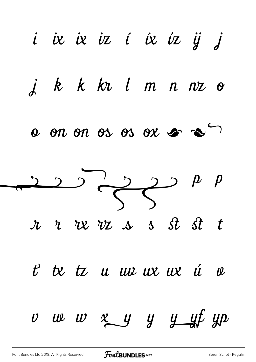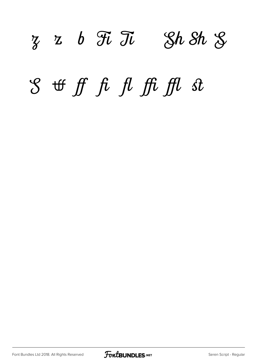### $z \, z \, b \, \mathcal{F} \, \overline{\partial} \, \mathcal{U} \quad \mathcal{S} \, h \, \mathcal{S} \, h \, \mathcal{S}$

## ff fi fl ffi ffl st

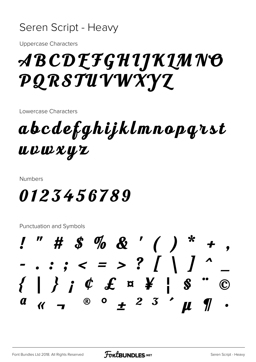#### Seren Script - Heavy

**Uppercase Characters** 

## *ABCDEFGHIJKLMNO* PQRSTUVWXYZ

Lowercase Characters

abcdefghijklmnopąrst UVWXYZ

**Numbers** 

#### 0123456789

Punctuation and Symbols

 $1''$  # \$ % & ' ( ) \* +  $- \, . \, . \, . \, . \, . \, < \, = \, > \, ? \, / \, / \, / \, .$ ®  $\circ$   $\neq$  2 3  $\prime$   $\mu$  $a$   $\prime$   $\prime$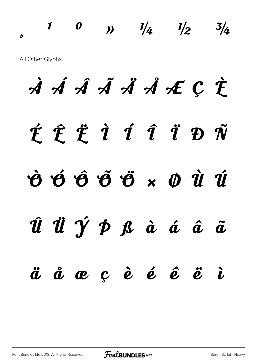$\frac{1}{2}$  0  $\frac{1}{4}$   $\frac{1}{2}$   $\frac{3}{4}$ All Other Glyphs

À Á Â Ã Ä Å Æ Ç È É Ê Ë Ì Í Î Ï Ð Ñ Ò Ó Ô Õ Ö × Ø Ù Ú Û Ü Ý Þ ß à á â ã ä å æ ç è é ê ë ì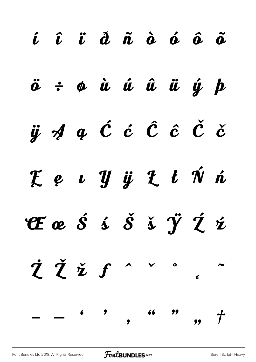|  | í î ï d ñ à á â ã                                                                                                                                                                                                                                                                                                                                                                                                                                                                |  |  |  |
|--|----------------------------------------------------------------------------------------------------------------------------------------------------------------------------------------------------------------------------------------------------------------------------------------------------------------------------------------------------------------------------------------------------------------------------------------------------------------------------------|--|--|--|
|  | $\ddot{o}$ $\div$ $\phi$ $\dot{u}$ $\dot{u}$ $\ddot{u}$ $\dot{u}$ $\dot{y}$ $\dot{p}$                                                                                                                                                                                                                                                                                                                                                                                            |  |  |  |
|  | $\ddot{y}$ $\acute{q}$ $q$ $\acute{c}$ $\acute{c}$ $\acute{c}$ $\acute{c}$ $\acute{c}$ $\acute{c}$                                                                                                                                                                                                                                                                                                                                                                               |  |  |  |
|  | Ee u Y ÿ L t Ń ń                                                                                                                                                                                                                                                                                                                                                                                                                                                                 |  |  |  |
|  | EæŠśŠšÿŹź                                                                                                                                                                                                                                                                                                                                                                                                                                                                        |  |  |  |
|  | ŻŽžf^~^.                                                                                                                                                                                                                                                                                                                                                                                                                                                                         |  |  |  |
|  | $  \leftarrow$ $\leftarrow$ $\leftarrow$ $\leftarrow$ $\leftarrow$ $\leftarrow$ $\leftarrow$ $\leftarrow$ $\leftarrow$ $\leftarrow$ $\leftarrow$ $\leftarrow$ $\leftarrow$ $\leftarrow$ $\leftarrow$ $\leftarrow$ $\leftarrow$ $\leftarrow$ $\leftarrow$ $\leftarrow$ $\leftarrow$ $\leftarrow$ $\leftarrow$ $\leftarrow$ $\leftarrow$ $\leftarrow$ $\leftarrow$ $\leftarrow$ $\leftarrow$ $\leftarrow$ $\leftarrow$ $\leftarrow$ $\leftarrow$ $\leftarrow$ $\leftarrow$ $\left$ |  |  |  |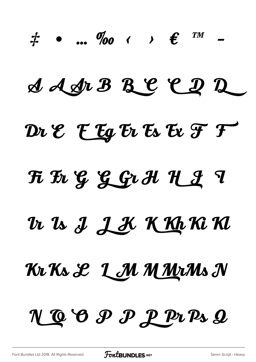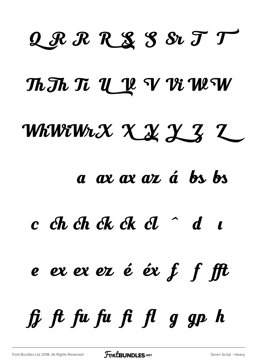## QRRRSS&TT

#### Th Th Ti U V V Vi W W

## WhWiWiX X X X Z Z

#### a ax ax az á bs bs

#### $c$  ch ch ck ck cl  $d$  d  $c$

# e ex ex ez é éx  $f$  f fft

# $\hat{H}$   $\hat{H}$   $\hat{H}$   $\hat{H}$   $\hat{H}$   $\hat{H}$   $\hat{g}$   $\hat{g}$   $\hat{p}$   $\hat{h}$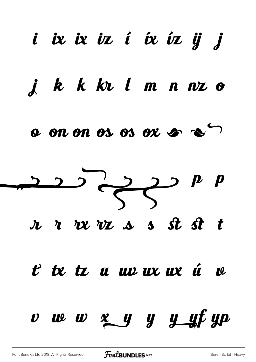